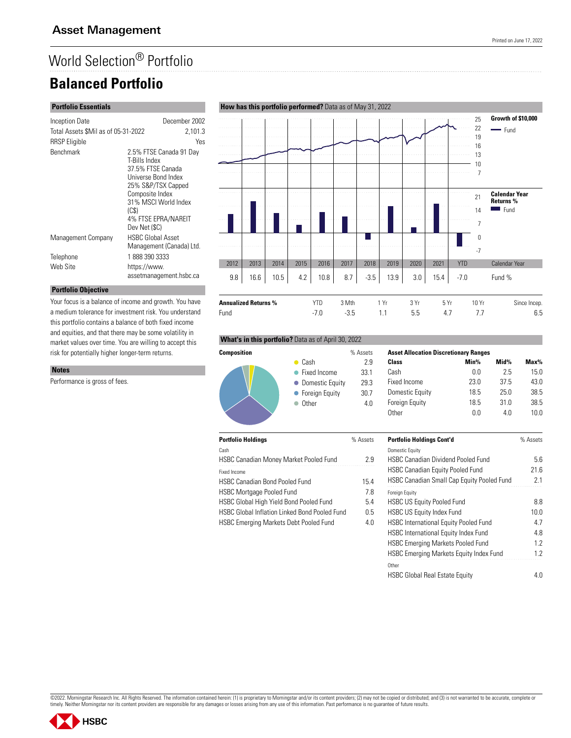# World Selection® Portfolio

# **Balanced Portfolio**

### **Portfolio Essentials**

| Inception Date                      | December 2002                                                                                                                                                                                         |
|-------------------------------------|-------------------------------------------------------------------------------------------------------------------------------------------------------------------------------------------------------|
| Total Assets \$Mil as of 05-31-2022 | 2,101.3                                                                                                                                                                                               |
| <b>RRSP</b> Eligible                | Yes                                                                                                                                                                                                   |
| Benchmark                           | 2.5% FTSE Canada 91 Day<br>T-Bills Index<br>37.5% FTSE Canada<br>Universe Bond Index<br>25% S&P/TSX Capped<br>Composite Index<br>31% MSCI World Index<br>(CS)<br>4% FTSE EPRA/NAREIT<br>Dev Net (\$C) |
| Management Company                  | <b>HSBC Global Asset</b><br>Management (Canada) Ltd.                                                                                                                                                  |
| Telephone                           | 18883903333                                                                                                                                                                                           |
| Web Site                            | https://www.<br>assetmanagement.hsbc.ca                                                                                                                                                               |

### **Portfolio Objective**

Your focus is a balance of income and growth. You have a medium tolerance for investment risk. You understand this portfolio contains a balance of both fixed income and equities, and that there may be some volatility in market values over time. You are willing to accept this risk for potentially higher longer-term returns.

#### **Notes**

Performance is gross of fees.





|             | % Assets | <b>Asset Allocat</b> |
|-------------|----------|----------------------|
|             | 29       | Class                |
| ncome       | 33.1     | Cash                 |
| stic Equity | 29.3     | Fixed Income         |
| n Equity    | 30.7     | Domestic Equ         |
|             | Δ Λ      | <b>Foreian Fauit</b> |

Fund -7.0 -3.5 1.1 5.5 4.7 7.7 6.5

| <b>Asset Allocation Discretionary Ranges</b> |      |                 |         |  |  |  |
|----------------------------------------------|------|-----------------|---------|--|--|--|
| Class                                        | Min% | Mid%            | $Max\%$ |  |  |  |
| Cash                                         | 0 O  | 25              | 15.0    |  |  |  |
| Fixed Income                                 | 23.0 | 37 <sub>5</sub> | 43.0    |  |  |  |
| Domestic Equity                              | 18.5 | 250             | 38.5    |  |  |  |
| <b>Foreign Equity</b>                        | 18.5 | 31.0            | 38.5    |  |  |  |
| 0ther                                        | ΛN   | 4 N             | 1N N    |  |  |  |

| <b>Portfolio Holdings</b>                            | % Assets | <b>Portfolio Holdings Cont'd</b>                  | % Assets |
|------------------------------------------------------|----------|---------------------------------------------------|----------|
| Cash                                                 |          | <b>Domestic Equity</b>                            |          |
| <b>HSBC Canadian Money Market Pooled Fund</b>        | 2.9      | <b>HSBC Canadian Dividend Pooled Fund</b>         | 5.6      |
| Fixed Income                                         |          | <b>HSBC Canadian Equity Pooled Fund</b>           | 21.6     |
| <b>HSBC Canadian Bond Pooled Fund</b>                | 15.4     | <b>HSBC Canadian Small Cap Equity Pooled Fund</b> | 2.1      |
| <b>HSBC Mortgage Pooled Fund</b>                     | 7.8      | <b>Foreign Equity</b>                             |          |
| HSBC Global High Yield Bond Pooled Fund              | 5.4      | <b>HSBC US Equity Pooled Fund</b>                 | 8.8      |
| <b>HSBC Global Inflation Linked Bond Pooled Fund</b> | 0.5      | <b>HSBC US Equity Index Fund</b>                  | 10.0     |
| <b>HSBC Emerging Markets Debt Pooled Fund</b>        | 4.0      | <b>HSBC International Equity Pooled Fund</b>      | 4.7      |
|                                                      |          | <b>HSBC International Equity Index Fund</b>       | 4.8      |
|                                                      |          | <b>HSBC Emerging Markets Pooled Fund</b>          | 1.2      |
|                                                      |          | HSBC Emerging Markets Equity Index Fund           | 1.2      |
|                                                      |          | Other                                             |          |
|                                                      |          | <b>HSBC Global Real Estate Equity</b>             | 4.0      |

©2022. Morningstar Research Inc. All Rights Reserved. The information contained herein: (1) is proprietary to Morningstar and/or its content providers; (2) may not be copied or distributed; and (3) is not warranted to be a